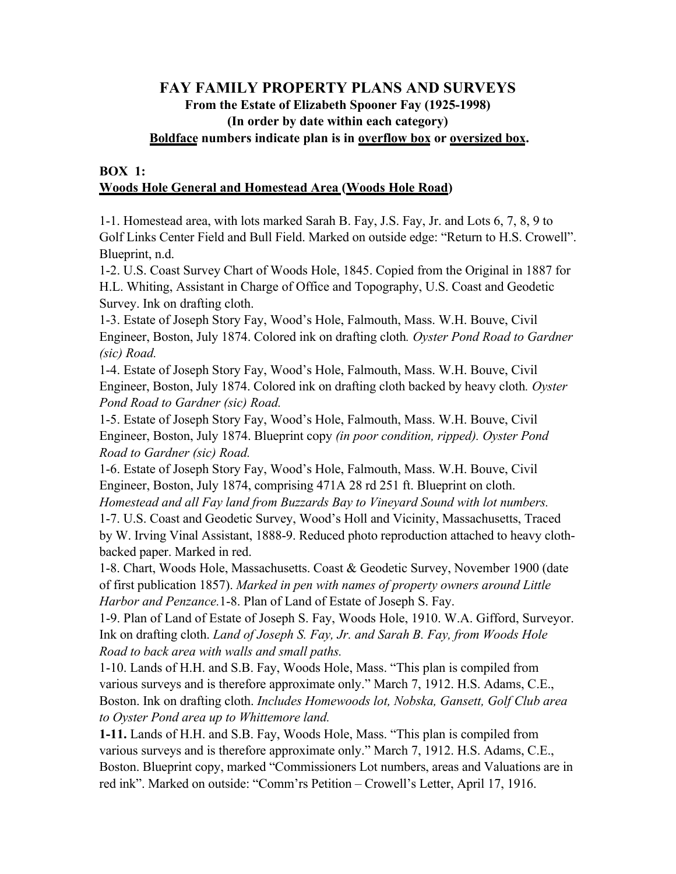# **FAY FAMILY PROPERTY PLANS AND SURVEYS From the Estate of Elizabeth Spooner Fay (1925-1998) (In order by date within each category) Boldface numbers indicate plan is in overflow box or oversized box.**

## **BOX 1: Woods Hole General and Homestead Area (Woods Hole Road)**

1-1. Homestead area, with lots marked Sarah B. Fay, J.S. Fay, Jr. and Lots 6, 7, 8, 9 to Golf Links Center Field and Bull Field. Marked on outside edge: "Return to H.S. Crowell". Blueprint, n.d.

1-2. U.S. Coast Survey Chart of Woods Hole, 1845. Copied from the Original in 1887 for H.L. Whiting, Assistant in Charge of Office and Topography, U.S. Coast and Geodetic Survey. Ink on drafting cloth.

1-3. Estate of Joseph Story Fay, Wood's Hole, Falmouth, Mass. W.H. Bouve, Civil Engineer, Boston, July 1874. Colored ink on drafting cloth*. Oyster Pond Road to Gardner (sic) Road.*

1-4. Estate of Joseph Story Fay, Wood's Hole, Falmouth, Mass. W.H. Bouve, Civil Engineer, Boston, July 1874. Colored ink on drafting cloth backed by heavy cloth*. Oyster Pond Road to Gardner (sic) Road.*

1-5. Estate of Joseph Story Fay, Wood's Hole, Falmouth, Mass. W.H. Bouve, Civil Engineer, Boston, July 1874. Blueprint copy *(in poor condition, ripped). Oyster Pond Road to Gardner (sic) Road.*

1-6. Estate of Joseph Story Fay, Wood's Hole, Falmouth, Mass. W.H. Bouve, Civil Engineer, Boston, July 1874, comprising 471A 28 rd 251 ft. Blueprint on cloth. *Homestead and all Fay land from Buzzards Bay to Vineyard Sound with lot numbers.*

1-7. U.S. Coast and Geodetic Survey, Wood's Holl and Vicinity, Massachusetts, Traced by W. Irving Vinal Assistant, 1888-9. Reduced photo reproduction attached to heavy clothbacked paper. Marked in red.

1-8. Chart, Woods Hole, Massachusetts. Coast & Geodetic Survey, November 1900 (date of first publication 1857). *Marked in pen with names of property owners around Little Harbor and Penzance.*1-8. Plan of Land of Estate of Joseph S. Fay.

1-9. Plan of Land of Estate of Joseph S. Fay, Woods Hole, 1910. W.A. Gifford, Surveyor. Ink on drafting cloth. *Land of Joseph S. Fay, Jr. and Sarah B. Fay, from Woods Hole Road to back area with walls and small paths.*

1-10. Lands of H.H. and S.B. Fay, Woods Hole, Mass. "This plan is compiled from various surveys and is therefore approximate only." March 7, 1912. H.S. Adams, C.E., Boston. Ink on drafting cloth. *Includes Homewoods lot, Nobska, Gansett, Golf Club area to Oyster Pond area up to Whittemore land.*

**1-11.** Lands of H.H. and S.B. Fay, Woods Hole, Mass. "This plan is compiled from various surveys and is therefore approximate only." March 7, 1912. H.S. Adams, C.E., Boston. Blueprint copy, marked "Commissioners Lot numbers, areas and Valuations are in red ink". Marked on outside: "Comm'rs Petition – Crowell's Letter, April 17, 1916.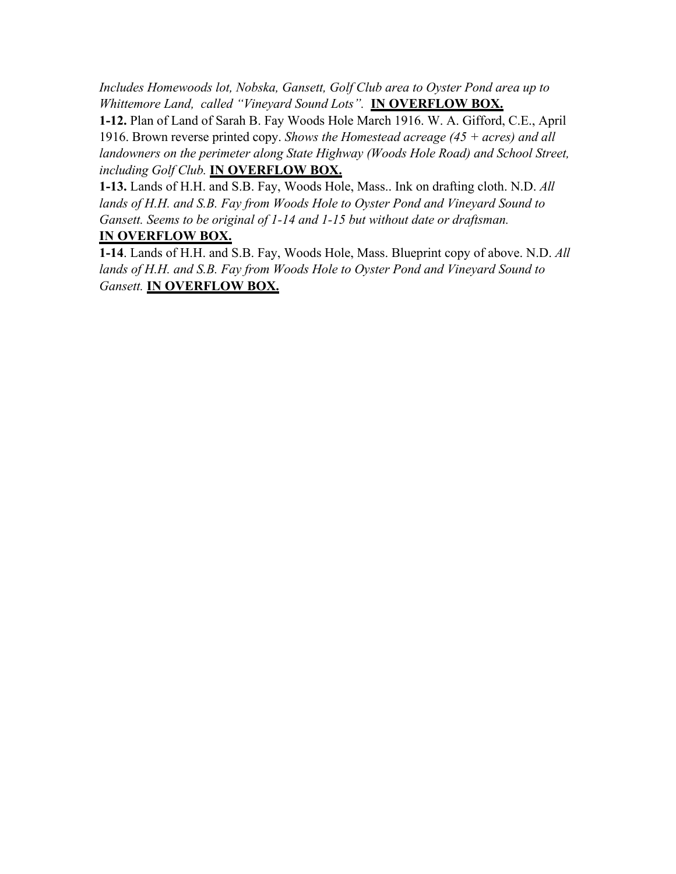*Includes Homewoods lot, Nobska, Gansett, Golf Club area to Oyster Pond area up to Whittemore Land, called "Vineyard Sound Lots".* **IN OVERFLOW BOX.**

**1-12.** Plan of Land of Sarah B. Fay Woods Hole March 1916. W. A. Gifford, C.E., April 1916. Brown reverse printed copy. *Shows the Homestead acreage (45 + acres) and all*  landowners on the perimeter along State Highway (Woods Hole Road) and School Street, *including Golf Club.* **IN OVERFLOW BOX.**

**1-13.** Lands of H.H. and S.B. Fay, Woods Hole, Mass.. Ink on drafting cloth. N.D. *All*  lands of H.H. and S.B. Fay from Woods Hole to Oyster Pond and Vineyard Sound to *Gansett. Seems to be original of 1-14 and 1-15 but without date or draftsman.* **IN OVERFLOW BOX.**

**1-14**. Lands of H.H. and S.B. Fay, Woods Hole, Mass. Blueprint copy of above. N.D. *All*  lands of H.H. and S.B. Fay from Woods Hole to Oyster Pond and Vineyard Sound to *Gansett.* **IN OVERFLOW BOX.**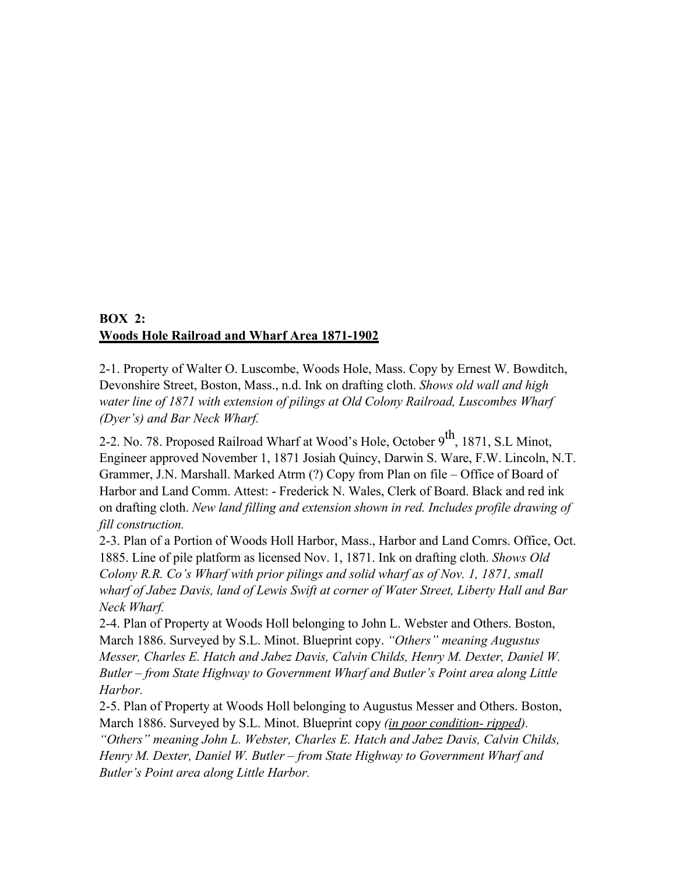# **BOX 2: Woods Hole Railroad and Wharf Area 1871-1902**

2-1. Property of Walter O. Luscombe, Woods Hole, Mass. Copy by Ernest W. Bowditch, Devonshire Street, Boston, Mass., n.d. Ink on drafting cloth. *Shows old wall and high water line of 1871 with extension of pilings at Old Colony Railroad, Luscombes Wharf (Dyer's) and Bar Neck Wharf.*

2-2. No. 78. Proposed Railroad Wharf at Wood's Hole, October 9<sup>th</sup>, 1871, S.L Minot, Engineer approved November 1, 1871 Josiah Quincy, Darwin S. Ware, F.W. Lincoln, N.T. Grammer, J.N. Marshall. Marked Atrm (?) Copy from Plan on file – Office of Board of Harbor and Land Comm. Attest: - Frederick N. Wales, Clerk of Board. Black and red ink on drafting cloth. *New land filling and extension shown in red. Includes profile drawing of fill construction.*

2-3. Plan of a Portion of Woods Holl Harbor, Mass., Harbor and Land Comrs. Office, Oct. 1885. Line of pile platform as licensed Nov. 1, 1871. Ink on drafting cloth. *Shows Old Colony R.R. Co's Wharf with prior pilings and solid wharf as of Nov. 1, 1871, small wharf of Jabez Davis, land of Lewis Swift at corner of Water Street, Liberty Hall and Bar Neck Wharf.*

2-4. Plan of Property at Woods Holl belonging to John L. Webster and Others. Boston, March 1886. Surveyed by S.L. Minot. Blueprint copy. *"Others" meaning Augustus Messer, Charles E. Hatch and Jabez Davis, Calvin Childs, Henry M. Dexter, Daniel W. Butler – from State Highway to Government Wharf and Butler's Point area along Little Harbor.*

2-5. Plan of Property at Woods Holl belonging to Augustus Messer and Others. Boston, March 1886. Surveyed by S.L. Minot. Blueprint copy *(in poor condition- ripped). "Others" meaning John L. Webster, Charles E. Hatch and Jabez Davis, Calvin Childs, Henry M. Dexter, Daniel W. Butler – from State Highway to Government Wharf and Butler's Point area along Little Harbor.*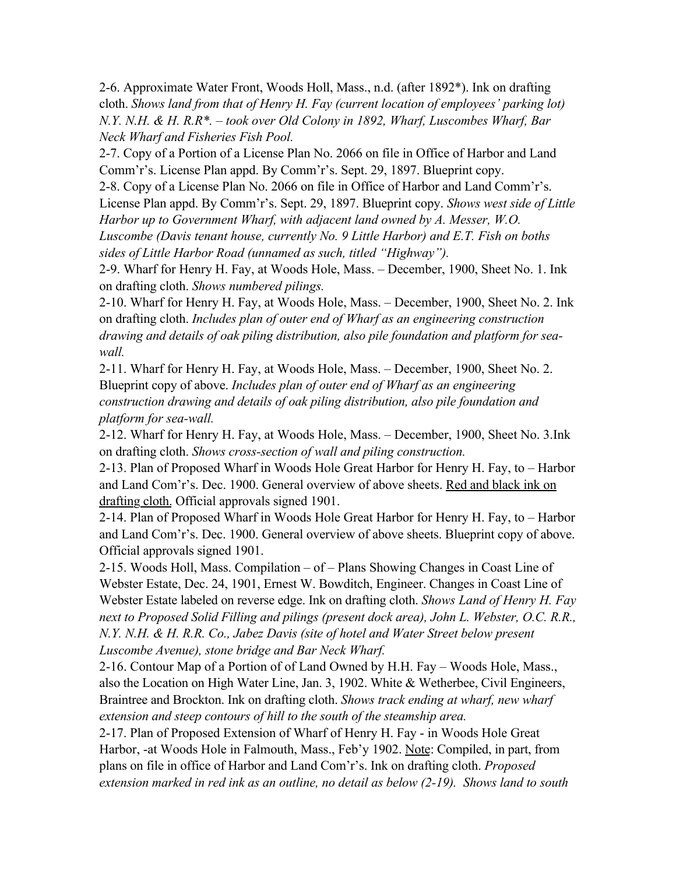2-6. Approximate Water Front, Woods Holl, Mass., n.d. (after 1892\*). Ink on drafting cloth. *Shows land from that of Henry H. Fay (current location of employees' parking lot) N.Y. N.H. & H. R.R\*. – took over Old Colony in 1892, Wharf, Luscombes Wharf, Bar Neck Wharf and Fisheries Fish Pool.*

2-7. Copy of a Portion of a License Plan No. 2066 on file in Office of Harbor and Land Comm'r's. License Plan appd. By Comm'r's. Sept. 29, 1897. Blueprint copy.

2-8. Copy of a License Plan No. 2066 on file in Office of Harbor and Land Comm'r's. License Plan appd. By Comm'r's. Sept. 29, 1897. Blueprint copy. *Shows west side of Little Harbor up to Government Wharf, with adjacent land owned by A. Messer, W.O. Luscombe (Davis tenant house, currently No. 9 Little Harbor) and E.T. Fish on boths sides of Little Harbor Road (unnamed as such, titled "Highway").*

2-9. Wharf for Henry H. Fay, at Woods Hole, Mass. – December, 1900, Sheet No. 1. Ink on drafting cloth. *Shows numbered pilings.*

2-10. Wharf for Henry H. Fay, at Woods Hole, Mass. – December, 1900, Sheet No. 2. Ink on drafting cloth. *Includes plan of outer end of Wharf as an engineering construction drawing and details of oak piling distribution, also pile foundation and platform for seawall.*

2-11. Wharf for Henry H. Fay, at Woods Hole, Mass. – December, 1900, Sheet No. 2. Blueprint copy of above. *Includes plan of outer end of Wharf as an engineering construction drawing and details of oak piling distribution, also pile foundation and platform for sea-wall.*

2-12. Wharf for Henry H. Fay, at Woods Hole, Mass. – December, 1900, Sheet No. 3.Ink on drafting cloth. *Shows cross-section of wall and piling construction.*

2-13. Plan of Proposed Wharf in Woods Hole Great Harbor for Henry H. Fay, to – Harbor and Land Com'r's. Dec. 1900. General overview of above sheets. Red and black ink on drafting cloth. Official approvals signed 1901.

2-14. Plan of Proposed Wharf in Woods Hole Great Harbor for Henry H. Fay, to – Harbor and Land Com'r's. Dec. 1900. General overview of above sheets. Blueprint copy of above. Official approvals signed 1901.

2-15. Woods Holl, Mass. Compilation – of – Plans Showing Changes in Coast Line of Webster Estate, Dec. 24, 1901, Ernest W. Bowditch, Engineer. Changes in Coast Line of Webster Estate labeled on reverse edge. Ink on drafting cloth. *Shows Land of Henry H. Fay next to Proposed Solid Filling and pilings (present dock area), John L. Webster, O.C. R.R., N.Y. N.H. & H. R.R. Co., Jabez Davis (site of hotel and Water Street below present Luscombe Avenue), stone bridge and Bar Neck Wharf.*

2-16. Contour Map of a Portion of of Land Owned by H.H. Fay – Woods Hole, Mass., also the Location on High Water Line, Jan. 3, 1902. White & Wetherbee, Civil Engineers, Braintree and Brockton. Ink on drafting cloth. *Shows track ending at wharf, new wharf extension and steep contours of hill to the south of the steamship area.*

2-17. Plan of Proposed Extension of Wharf of Henry H. Fay - in Woods Hole Great Harbor, -at Woods Hole in Falmouth, Mass., Feb'y 1902. Note: Compiled, in part, from plans on file in office of Harbor and Land Com'r's. Ink on drafting cloth. *Proposed extension marked in red ink as an outline, no detail as below (2-19). Shows land to south*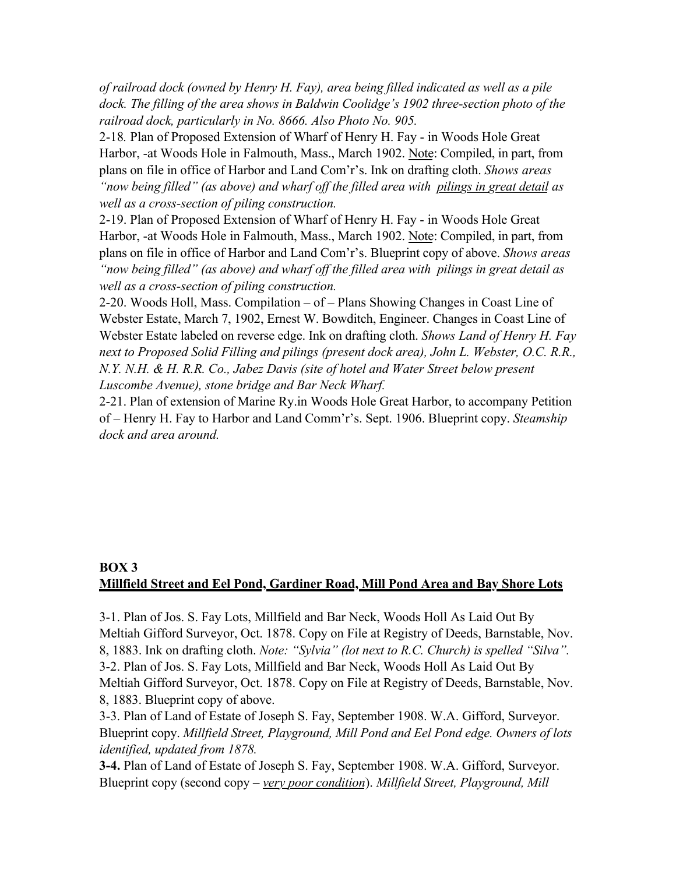*of railroad dock (owned by Henry H. Fay), area being filled indicated as well as a pile dock. The filling of the area shows in Baldwin Coolidge's 1902 three-section photo of the railroad dock, particularly in No. 8666. Also Photo No. 905.*

2-18*.* Plan of Proposed Extension of Wharf of Henry H. Fay - in Woods Hole Great Harbor, -at Woods Hole in Falmouth, Mass., March 1902. Note: Compiled, in part, from plans on file in office of Harbor and Land Com'r's. Ink on drafting cloth. *Shows areas "now being filled" (as above) and wharf off the filled area with pilings in great detail as well as a cross-section of piling construction.*

2-19. Plan of Proposed Extension of Wharf of Henry H. Fay - in Woods Hole Great Harbor, -at Woods Hole in Falmouth, Mass., March 1902. Note: Compiled, in part, from plans on file in office of Harbor and Land Com'r's. Blueprint copy of above. *Shows areas "now being filled" (as above) and wharf off the filled area with pilings in great detail as well as a cross-section of piling construction.*

2-20. Woods Holl, Mass. Compilation – of – Plans Showing Changes in Coast Line of Webster Estate, March 7, 1902, Ernest W. Bowditch, Engineer. Changes in Coast Line of Webster Estate labeled on reverse edge. Ink on drafting cloth. *Shows Land of Henry H. Fay next to Proposed Solid Filling and pilings (present dock area), John L. Webster, O.C. R.R., N.Y. N.H. & H. R.R. Co., Jabez Davis (site of hotel and Water Street below present Luscombe Avenue), stone bridge and Bar Neck Wharf.*

2-21. Plan of extension of Marine Ry.in Woods Hole Great Harbor, to accompany Petition of – Henry H. Fay to Harbor and Land Comm'r's. Sept. 1906. Blueprint copy. *Steamship dock and area around.*

# **BOX 3 Millfield Street and Eel Pond, Gardiner Road, Mill Pond Area and Bay Shore Lots**

3-1. Plan of Jos. S. Fay Lots, Millfield and Bar Neck, Woods Holl As Laid Out By Meltiah Gifford Surveyor, Oct. 1878. Copy on File at Registry of Deeds, Barnstable, Nov. 8, 1883. Ink on drafting cloth. *Note: "Sylvia" (lot next to R.C. Church) is spelled "Silva".* 3-2. Plan of Jos. S. Fay Lots, Millfield and Bar Neck, Woods Holl As Laid Out By Meltiah Gifford Surveyor, Oct. 1878. Copy on File at Registry of Deeds, Barnstable, Nov. 8, 1883. Blueprint copy of above.

3-3. Plan of Land of Estate of Joseph S. Fay, September 1908. W.A. Gifford, Surveyor. Blueprint copy. *Millfield Street, Playground, Mill Pond and Eel Pond edge. Owners of lots identified, updated from 1878.*

**3-4.** Plan of Land of Estate of Joseph S. Fay, September 1908. W.A. Gifford, Surveyor. Blueprint copy (second copy – *very poor condition*). *Millfield Street, Playground, Mill*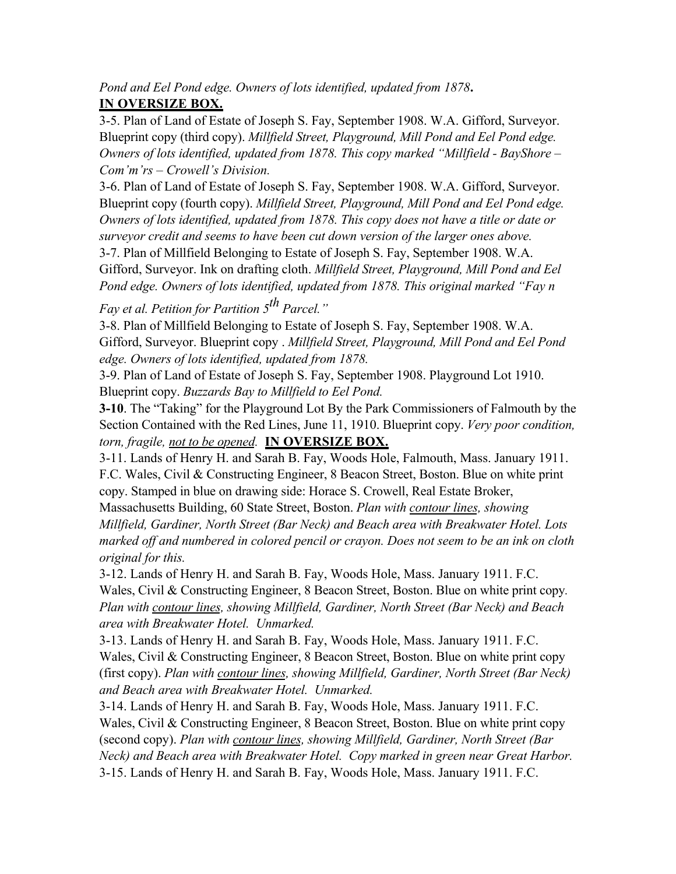*Pond and Eel Pond edge. Owners of lots identified, updated from 1878***. IN OVERSIZE BOX.**

3-5. Plan of Land of Estate of Joseph S. Fay, September 1908. W.A. Gifford, Surveyor. Blueprint copy (third copy). *Millfield Street, Playground, Mill Pond and Eel Pond edge. Owners of lots identified, updated from 1878. This copy marked "Millfield - BayShore – Com'm'rs – Crowell's Division.*

3-6. Plan of Land of Estate of Joseph S. Fay, September 1908. W.A. Gifford, Surveyor. Blueprint copy (fourth copy). *Millfield Street, Playground, Mill Pond and Eel Pond edge. Owners of lots identified, updated from 1878. This copy does not have a title or date or surveyor credit and seems to have been cut down version of the larger ones above.*

3-7. Plan of Millfield Belonging to Estate of Joseph S. Fay, September 1908. W.A. Gifford, Surveyor. Ink on drafting cloth. *Millfield Street, Playground, Mill Pond and Eel Pond edge. Owners of lots identified, updated from 1878. This original marked "Fay n* 

*Fay et al. Petition for Partition 5th Parcel."*

3-8. Plan of Millfield Belonging to Estate of Joseph S. Fay, September 1908. W.A. Gifford, Surveyor. Blueprint copy . *Millfield Street, Playground, Mill Pond and Eel Pond edge. Owners of lots identified, updated from 1878.*

3-9. Plan of Land of Estate of Joseph S. Fay, September 1908. Playground Lot 1910. Blueprint copy. *Buzzards Bay to Millfield to Eel Pond.*

**3-10**. The "Taking" for the Playground Lot By the Park Commissioners of Falmouth by the Section Contained with the Red Lines, June 11, 1910. Blueprint copy. *Very poor condition, torn, fragile, not to be opened.* **IN OVERSIZE BOX.**

3-11. Lands of Henry H. and Sarah B. Fay, Woods Hole, Falmouth, Mass. January 1911. F.C. Wales, Civil & Constructing Engineer, 8 Beacon Street, Boston. Blue on white print copy. Stamped in blue on drawing side: Horace S. Crowell, Real Estate Broker,

Massachusetts Building, 60 State Street, Boston. *Plan with contour lines, showing Millfield, Gardiner, North Street (Bar Neck) and Beach area with Breakwater Hotel. Lots marked off and numbered in colored pencil or crayon. Does not seem to be an ink on cloth original for this.*

3-12. Lands of Henry H. and Sarah B. Fay, Woods Hole, Mass. January 1911. F.C. Wales, Civil & Constructing Engineer, 8 Beacon Street, Boston. Blue on white print copy*. Plan with contour lines, showing Millfield, Gardiner, North Street (Bar Neck) and Beach area with Breakwater Hotel. Unmarked.*

3-13. Lands of Henry H. and Sarah B. Fay, Woods Hole, Mass. January 1911. F.C. Wales, Civil & Constructing Engineer, 8 Beacon Street, Boston. Blue on white print copy (first copy). *Plan with contour lines, showing Millfield, Gardiner, North Street (Bar Neck) and Beach area with Breakwater Hotel. Unmarked.*

3-14. Lands of Henry H. and Sarah B. Fay, Woods Hole, Mass. January 1911. F.C. Wales, Civil & Constructing Engineer, 8 Beacon Street, Boston. Blue on white print copy (second copy). *Plan with contour lines, showing Millfield, Gardiner, North Street (Bar Neck) and Beach area with Breakwater Hotel. Copy marked in green near Great Harbor.* 3-15. Lands of Henry H. and Sarah B. Fay, Woods Hole, Mass. January 1911. F.C.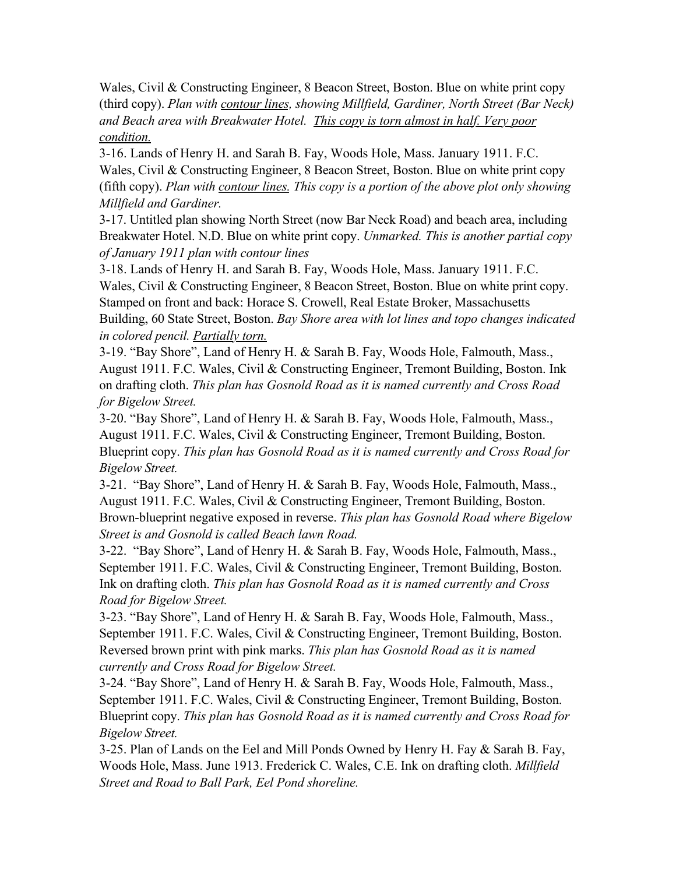Wales, Civil & Constructing Engineer, 8 Beacon Street, Boston. Blue on white print copy (third copy). *Plan with contour lines, showing Millfield, Gardiner, North Street (Bar Neck) and Beach area with Breakwater Hotel. This copy is torn almost in half. Very poor condition.*

3-16. Lands of Henry H. and Sarah B. Fay, Woods Hole, Mass. January 1911. F.C. Wales, Civil & Constructing Engineer, 8 Beacon Street, Boston. Blue on white print copy (fifth copy). *Plan with contour lines. This copy is a portion of the above plot only showing Millfield and Gardiner.*

3-17. Untitled plan showing North Street (now Bar Neck Road) and beach area, including Breakwater Hotel. N.D. Blue on white print copy. *Unmarked. This is another partial copy of January 1911 plan with contour lines*

3-18. Lands of Henry H. and Sarah B. Fay, Woods Hole, Mass. January 1911. F.C. Wales, Civil & Constructing Engineer, 8 Beacon Street, Boston. Blue on white print copy. Stamped on front and back: Horace S. Crowell, Real Estate Broker, Massachusetts Building, 60 State Street, Boston. *Bay Shore area with lot lines and topo changes indicated in colored pencil. Partially torn.*

3-19. "Bay Shore", Land of Henry H. & Sarah B. Fay, Woods Hole, Falmouth, Mass., August 1911. F.C. Wales, Civil & Constructing Engineer, Tremont Building, Boston. Ink on drafting cloth. *This plan has Gosnold Road as it is named currently and Cross Road for Bigelow Street.*

3-20. "Bay Shore", Land of Henry H. & Sarah B. Fay, Woods Hole, Falmouth, Mass., August 1911. F.C. Wales, Civil & Constructing Engineer, Tremont Building, Boston. Blueprint copy. *This plan has Gosnold Road as it is named currently and Cross Road for Bigelow Street.*

3-21. "Bay Shore", Land of Henry H. & Sarah B. Fay, Woods Hole, Falmouth, Mass., August 1911. F.C. Wales, Civil & Constructing Engineer, Tremont Building, Boston. Brown-blueprint negative exposed in reverse. *This plan has Gosnold Road where Bigelow Street is and Gosnold is called Beach lawn Road.*

3-22. "Bay Shore", Land of Henry H. & Sarah B. Fay, Woods Hole, Falmouth, Mass., September 1911. F.C. Wales, Civil & Constructing Engineer, Tremont Building, Boston. Ink on drafting cloth. *This plan has Gosnold Road as it is named currently and Cross Road for Bigelow Street.*

3-23. "Bay Shore", Land of Henry H. & Sarah B. Fay, Woods Hole, Falmouth, Mass., September 1911. F.C. Wales, Civil & Constructing Engineer, Tremont Building, Boston. Reversed brown print with pink marks. *This plan has Gosnold Road as it is named currently and Cross Road for Bigelow Street.*

3-24. "Bay Shore", Land of Henry H. & Sarah B. Fay, Woods Hole, Falmouth, Mass., September 1911. F.C. Wales, Civil & Constructing Engineer, Tremont Building, Boston. Blueprint copy. *This plan has Gosnold Road as it is named currently and Cross Road for Bigelow Street.*

3-25. Plan of Lands on the Eel and Mill Ponds Owned by Henry H. Fay & Sarah B. Fay, Woods Hole, Mass. June 1913. Frederick C. Wales, C.E. Ink on drafting cloth. *Millfield Street and Road to Ball Park, Eel Pond shoreline.*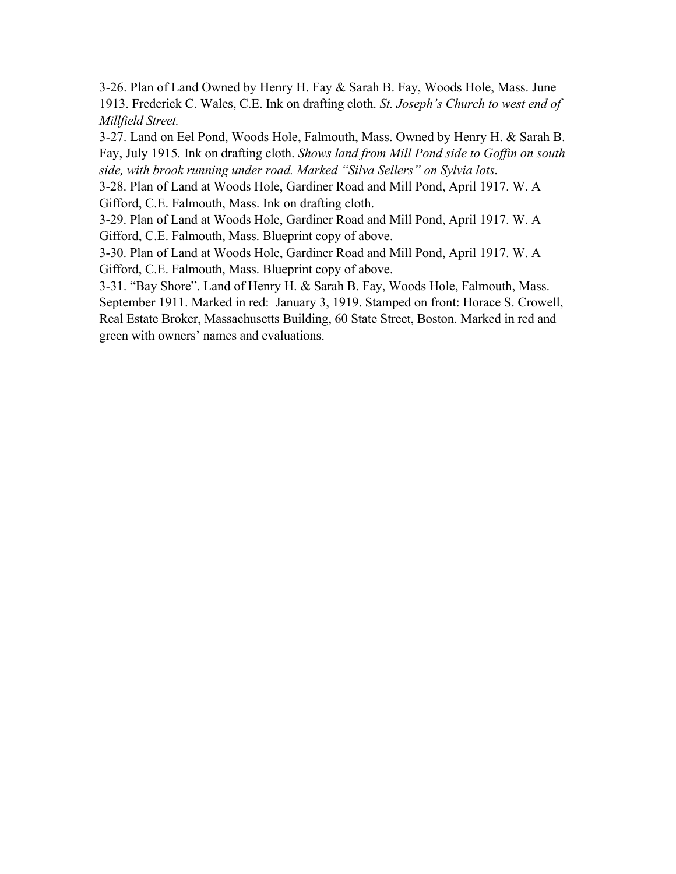3-26. Plan of Land Owned by Henry H. Fay & Sarah B. Fay, Woods Hole, Mass. June 1913. Frederick C. Wales, C.E. Ink on drafting cloth. *St. Joseph's Church to west end of Millfield Street.*

3-27. Land on Eel Pond, Woods Hole, Falmouth, Mass. Owned by Henry H. & Sarah B. Fay, July 1915*.* Ink on drafting cloth. *Shows land from Mill Pond side to Goffin on south side, with brook running under road. Marked "Silva Sellers" on Sylvia lots*.

3-28. Plan of Land at Woods Hole, Gardiner Road and Mill Pond, April 1917. W. A Gifford, C.E. Falmouth, Mass. Ink on drafting cloth.

3-29. Plan of Land at Woods Hole, Gardiner Road and Mill Pond, April 1917. W. A Gifford, C.E. Falmouth, Mass. Blueprint copy of above.

3-30. Plan of Land at Woods Hole, Gardiner Road and Mill Pond, April 1917. W. A Gifford, C.E. Falmouth, Mass. Blueprint copy of above.

3-31. "Bay Shore". Land of Henry H. & Sarah B. Fay, Woods Hole, Falmouth, Mass. September 1911. Marked in red: January 3, 1919. Stamped on front: Horace S. Crowell, Real Estate Broker, Massachusetts Building, 60 State Street, Boston. Marked in red and green with owners' names and evaluations.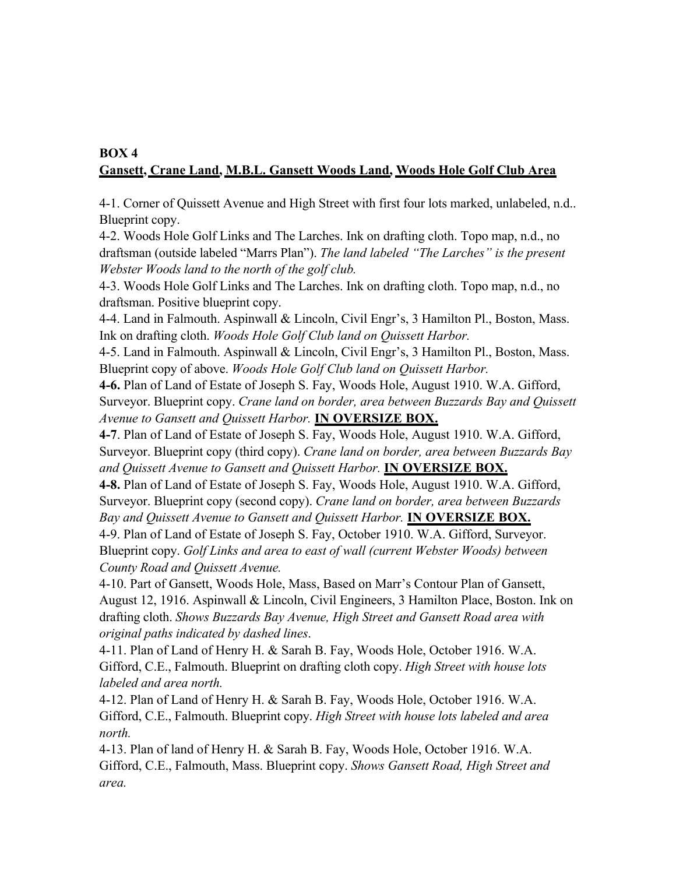# **BOX 4 Gansett, Crane Land, M.B.L. Gansett Woods Land, Woods Hole Golf Club Area**

4-1. Corner of Quissett Avenue and High Street with first four lots marked, unlabeled, n.d.. Blueprint copy.

4-2. Woods Hole Golf Links and The Larches. Ink on drafting cloth. Topo map, n.d., no draftsman (outside labeled "Marrs Plan"). *The land labeled "The Larches" is the present Webster Woods land to the north of the golf club.*

4-3. Woods Hole Golf Links and The Larches. Ink on drafting cloth. Topo map, n.d., no draftsman. Positive blueprint copy.

4-4. Land in Falmouth. Aspinwall & Lincoln, Civil Engr's, 3 Hamilton Pl., Boston, Mass. Ink on drafting cloth. *Woods Hole Golf Club land on Quissett Harbor.*

4-5. Land in Falmouth. Aspinwall & Lincoln, Civil Engr's, 3 Hamilton Pl., Boston, Mass. Blueprint copy of above. *Woods Hole Golf Club land on Quissett Harbor.*

**4-6.** Plan of Land of Estate of Joseph S. Fay, Woods Hole, August 1910. W.A. Gifford, Surveyor. Blueprint copy. *Crane land on border, area between Buzzards Bay and Quissett Avenue to Gansett and Quissett Harbor.* **IN OVERSIZE BOX.**

**4-7**. Plan of Land of Estate of Joseph S. Fay, Woods Hole, August 1910. W.A. Gifford, Surveyor. Blueprint copy (third copy). *Crane land on border, area between Buzzards Bay and Quissett Avenue to Gansett and Quissett Harbor.* **IN OVERSIZE BOX.**

**4-8.** Plan of Land of Estate of Joseph S. Fay, Woods Hole, August 1910. W.A. Gifford, Surveyor. Blueprint copy (second copy). *Crane land on border, area between Buzzards Bay and Quissett Avenue to Gansett and Quissett Harbor.* **IN OVERSIZE BOX.**

4-9. Plan of Land of Estate of Joseph S. Fay, October 1910. W.A. Gifford, Surveyor. Blueprint copy. *Golf Links and area to east of wall (current Webster Woods) between County Road and Quissett Avenue.*

4-10. Part of Gansett, Woods Hole, Mass, Based on Marr's Contour Plan of Gansett, August 12, 1916. Aspinwall & Lincoln, Civil Engineers, 3 Hamilton Place, Boston. Ink on drafting cloth. *Shows Buzzards Bay Avenue, High Street and Gansett Road area with original paths indicated by dashed lines*.

4-11. Plan of Land of Henry H. & Sarah B. Fay, Woods Hole, October 1916. W.A. Gifford, C.E., Falmouth. Blueprint on drafting cloth copy. *High Street with house lots labeled and area north.*

4-12. Plan of Land of Henry H. & Sarah B. Fay, Woods Hole, October 1916. W.A. Gifford, C.E., Falmouth. Blueprint copy. *High Street with house lots labeled and area north.*

4-13. Plan of land of Henry H. & Sarah B. Fay, Woods Hole, October 1916. W.A. Gifford, C.E., Falmouth, Mass. Blueprint copy. *Shows Gansett Road, High Street and area.*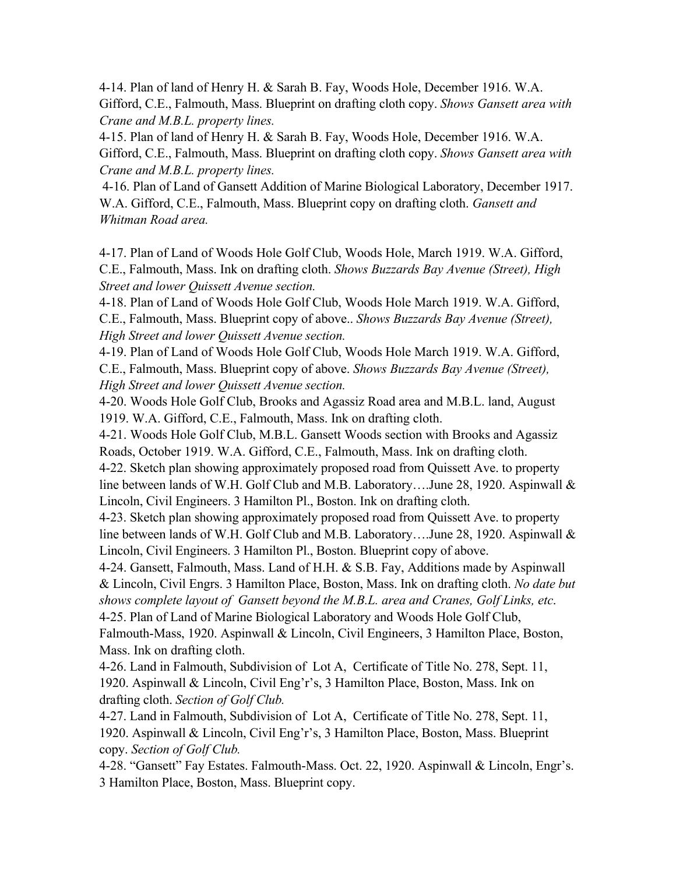4-14. Plan of land of Henry H. & Sarah B. Fay, Woods Hole, December 1916. W.A. Gifford, C.E., Falmouth, Mass. Blueprint on drafting cloth copy. *Shows Gansett area with Crane and M.B.L. property lines.*

4-15. Plan of land of Henry H. & Sarah B. Fay, Woods Hole, December 1916. W.A. Gifford, C.E., Falmouth, Mass. Blueprint on drafting cloth copy. *Shows Gansett area with Crane and M.B.L. property lines.*

 4-16. Plan of Land of Gansett Addition of Marine Biological Laboratory, December 1917. W.A. Gifford, C.E., Falmouth, Mass. Blueprint copy on drafting cloth. *Gansett and Whitman Road area.*

4-17. Plan of Land of Woods Hole Golf Club, Woods Hole, March 1919. W.A. Gifford, C.E., Falmouth, Mass. Ink on drafting cloth. *Shows Buzzards Bay Avenue (Street), High Street and lower Quissett Avenue section.*

4-18. Plan of Land of Woods Hole Golf Club, Woods Hole March 1919. W.A. Gifford, C.E., Falmouth, Mass. Blueprint copy of above.. *Shows Buzzards Bay Avenue (Street), High Street and lower Quissett Avenue section.*

4-19. Plan of Land of Woods Hole Golf Club, Woods Hole March 1919. W.A. Gifford, C.E., Falmouth, Mass. Blueprint copy of above. *Shows Buzzards Bay Avenue (Street), High Street and lower Quissett Avenue section.*

4-20. Woods Hole Golf Club, Brooks and Agassiz Road area and M.B.L. land, August 1919. W.A. Gifford, C.E., Falmouth, Mass. Ink on drafting cloth.

4-21. Woods Hole Golf Club, M.B.L. Gansett Woods section with Brooks and Agassiz Roads, October 1919. W.A. Gifford, C.E., Falmouth, Mass. Ink on drafting cloth. 4-22. Sketch plan showing approximately proposed road from Quissett Ave. to property line between lands of W.H. Golf Club and M.B. Laboratory….June 28, 1920. Aspinwall & Lincoln, Civil Engineers. 3 Hamilton Pl., Boston. Ink on drafting cloth.

4-23. Sketch plan showing approximately proposed road from Quissett Ave. to property line between lands of W.H. Golf Club and M.B. Laboratory….June 28, 1920. Aspinwall & Lincoln, Civil Engineers. 3 Hamilton Pl., Boston. Blueprint copy of above.

4-24. Gansett, Falmouth, Mass. Land of H.H. & S.B. Fay, Additions made by Aspinwall & Lincoln, Civil Engrs. 3 Hamilton Place, Boston, Mass. Ink on drafting cloth. *No date but shows complete layout of Gansett beyond the M.B.L. area and Cranes, Golf Links, etc*. 4-25. Plan of Land of Marine Biological Laboratory and Woods Hole Golf Club,

Falmouth-Mass, 1920. Aspinwall & Lincoln, Civil Engineers, 3 Hamilton Place, Boston, Mass. Ink on drafting cloth.

4-26. Land in Falmouth, Subdivision of Lot A, Certificate of Title No. 278, Sept. 11, 1920. Aspinwall & Lincoln, Civil Eng'r's, 3 Hamilton Place, Boston, Mass. Ink on drafting cloth. *Section of Golf Club.*

4-27. Land in Falmouth, Subdivision of Lot A, Certificate of Title No. 278, Sept. 11, 1920. Aspinwall & Lincoln, Civil Eng'r's, 3 Hamilton Place, Boston, Mass. Blueprint copy. *Section of Golf Club.*

4-28. "Gansett" Fay Estates. Falmouth-Mass. Oct. 22, 1920. Aspinwall & Lincoln, Engr's. 3 Hamilton Place, Boston, Mass. Blueprint copy.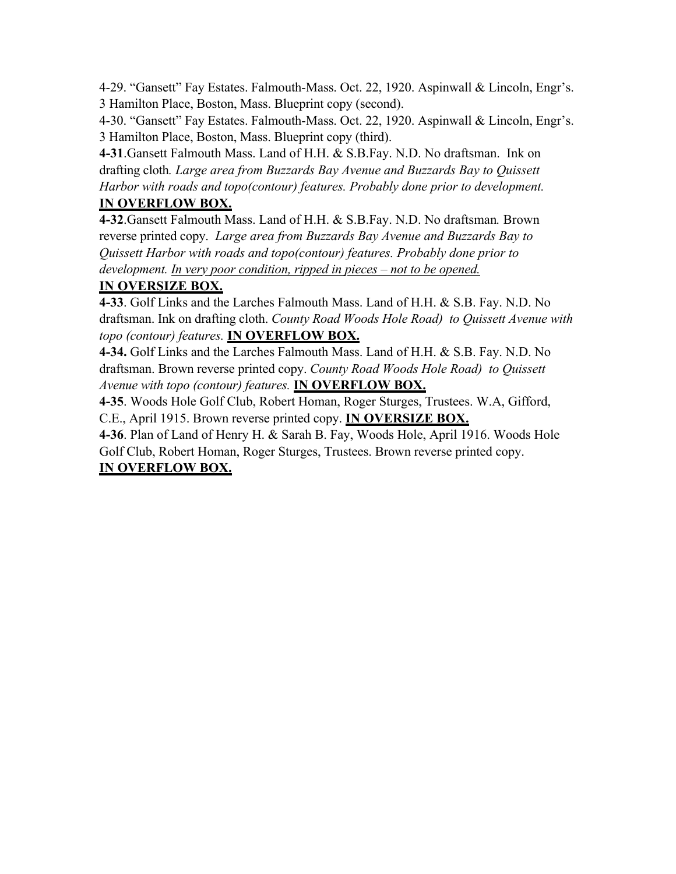4-29. "Gansett" Fay Estates. Falmouth-Mass. Oct. 22, 1920. Aspinwall & Lincoln, Engr's. 3 Hamilton Place, Boston, Mass. Blueprint copy (second).

4-30. "Gansett" Fay Estates. Falmouth-Mass. Oct. 22, 1920. Aspinwall & Lincoln, Engr's. 3 Hamilton Place, Boston, Mass. Blueprint copy (third).

**4-31**.Gansett Falmouth Mass. Land of H.H. & S.B.Fay. N.D. No draftsman. Ink on drafting cloth*. Large area from Buzzards Bay Avenue and Buzzards Bay to Quissett Harbor with roads and topo(contour) features. Probably done prior to development.*

# **IN OVERFLOW BOX.**

**4-32**.Gansett Falmouth Mass. Land of H.H. & S.B.Fay. N.D. No draftsman*.* Brown reverse printed copy. *Large area from Buzzards Bay Avenue and Buzzards Bay to Quissett Harbor with roads and topo(contour) features. Probably done prior to development. In very poor condition, ripped in pieces – not to be opened.*

## **IN OVERSIZE BOX.**

**4-33**. Golf Links and the Larches Falmouth Mass. Land of H.H. & S.B. Fay. N.D. No draftsman. Ink on drafting cloth. *County Road Woods Hole Road) to Quissett Avenue with topo (contour) features.* **IN OVERFLOW BOX.**

**4-34.** Golf Links and the Larches Falmouth Mass. Land of H.H. & S.B. Fay. N.D. No draftsman. Brown reverse printed copy. *County Road Woods Hole Road) to Quissett Avenue with topo (contour) features.* **IN OVERFLOW BOX.**

**4-35**. Woods Hole Golf Club, Robert Homan, Roger Sturges, Trustees. W.A, Gifford, C.E., April 1915. Brown reverse printed copy. **IN OVERSIZE BOX.**

**4-36**. Plan of Land of Henry H. & Sarah B. Fay, Woods Hole, April 1916. Woods Hole Golf Club, Robert Homan, Roger Sturges, Trustees. Brown reverse printed copy. **IN OVERFLOW BOX.**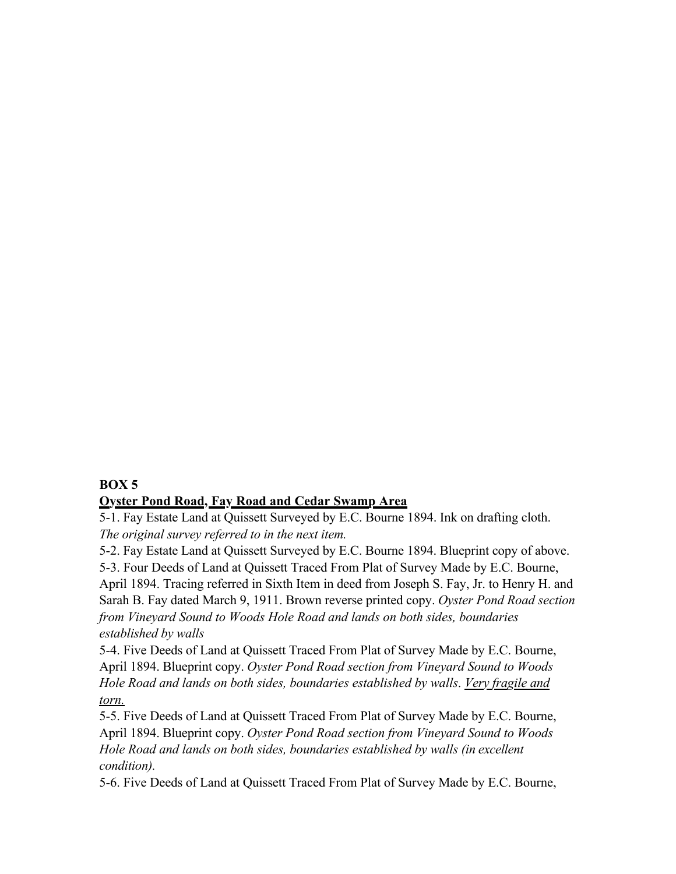#### **BOX 5**

#### **Oyster Pond Road, Fay Road and Cedar Swamp Area**

5-1. Fay Estate Land at Quissett Surveyed by E.C. Bourne 1894. Ink on drafting cloth. *The original survey referred to in the next item.*

5-2. Fay Estate Land at Quissett Surveyed by E.C. Bourne 1894. Blueprint copy of above.

5-3. Four Deeds of Land at Quissett Traced From Plat of Survey Made by E.C. Bourne,

April 1894. Tracing referred in Sixth Item in deed from Joseph S. Fay, Jr. to Henry H. and Sarah B. Fay dated March 9, 1911. Brown reverse printed copy. *Oyster Pond Road section from Vineyard Sound to Woods Hole Road and lands on both sides, boundaries established by walls*

5-4. Five Deeds of Land at Quissett Traced From Plat of Survey Made by E.C. Bourne, April 1894. Blueprint copy. *Oyster Pond Road section from Vineyard Sound to Woods Hole Road and lands on both sides, boundaries established by walls*. *Very fragile and torn.*

5-5. Five Deeds of Land at Quissett Traced From Plat of Survey Made by E.C. Bourne, April 1894. Blueprint copy. *Oyster Pond Road section from Vineyard Sound to Woods Hole Road and lands on both sides, boundaries established by walls (in excellent condition).*

5-6. Five Deeds of Land at Quissett Traced From Plat of Survey Made by E.C. Bourne,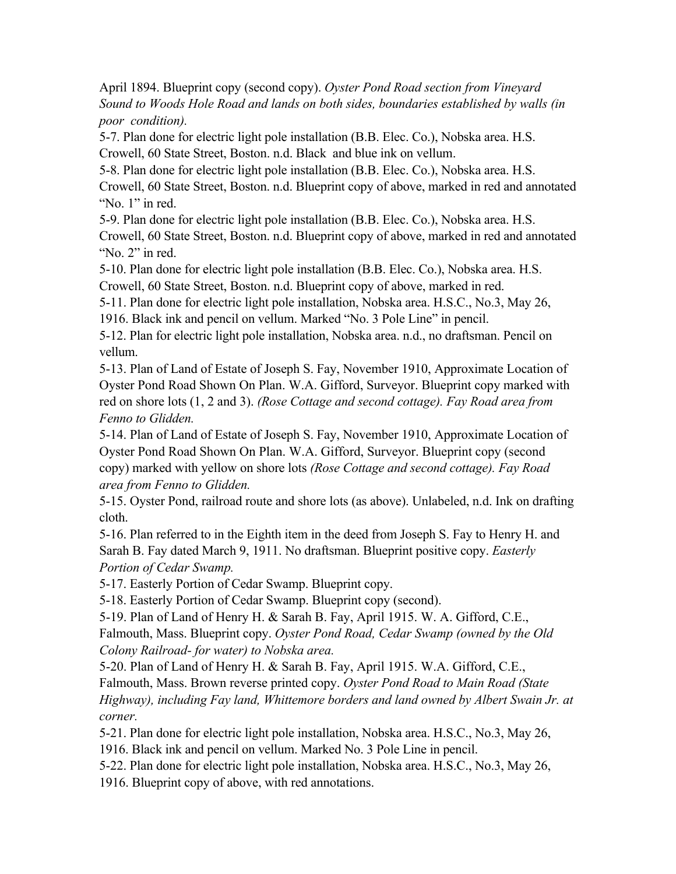April 1894. Blueprint copy (second copy). *Oyster Pond Road section from Vineyard Sound to Woods Hole Road and lands on both sides, boundaries established by walls (in poor condition).*

5-7. Plan done for electric light pole installation (B.B. Elec. Co.), Nobska area. H.S. Crowell, 60 State Street, Boston. n.d. Black and blue ink on vellum.

5-8. Plan done for electric light pole installation (B.B. Elec. Co.), Nobska area. H.S. Crowell, 60 State Street, Boston. n.d. Blueprint copy of above, marked in red and annotated "No. 1" in red.

5-9. Plan done for electric light pole installation (B.B. Elec. Co.), Nobska area. H.S. Crowell, 60 State Street, Boston. n.d. Blueprint copy of above, marked in red and annotated "No. 2" in red.

5-10. Plan done for electric light pole installation (B.B. Elec. Co.), Nobska area. H.S. Crowell, 60 State Street, Boston. n.d. Blueprint copy of above, marked in red.

5-11. Plan done for electric light pole installation, Nobska area. H.S.C., No.3, May 26,

1916. Black ink and pencil on vellum. Marked "No. 3 Pole Line" in pencil.

5-12. Plan for electric light pole installation, Nobska area. n.d., no draftsman. Pencil on vellum.

5-13. Plan of Land of Estate of Joseph S. Fay, November 1910, Approximate Location of Oyster Pond Road Shown On Plan. W.A. Gifford, Surveyor. Blueprint copy marked with red on shore lots (1, 2 and 3). *(Rose Cottage and second cottage). Fay Road area from Fenno to Glidden.*

5-14. Plan of Land of Estate of Joseph S. Fay, November 1910, Approximate Location of Oyster Pond Road Shown On Plan. W.A. Gifford, Surveyor. Blueprint copy (second copy) marked with yellow on shore lots *(Rose Cottage and second cottage). Fay Road area from Fenno to Glidden.*

5-15. Oyster Pond, railroad route and shore lots (as above). Unlabeled, n.d. Ink on drafting cloth.

5-16. Plan referred to in the Eighth item in the deed from Joseph S. Fay to Henry H. and Sarah B. Fay dated March 9, 1911. No draftsman. Blueprint positive copy. *Easterly Portion of Cedar Swamp.*

5-17. Easterly Portion of Cedar Swamp. Blueprint copy.

5-18. Easterly Portion of Cedar Swamp. Blueprint copy (second).

5-19. Plan of Land of Henry H. & Sarah B. Fay, April 1915. W. A. Gifford, C.E.,

Falmouth, Mass. Blueprint copy. *Oyster Pond Road, Cedar Swamp (owned by the Old Colony Railroad- for water) to Nobska area.*

5-20. Plan of Land of Henry H. & Sarah B. Fay, April 1915. W.A. Gifford, C.E., Falmouth, Mass. Brown reverse printed copy. *Oyster Pond Road to Main Road (State Highway), including Fay land, Whittemore borders and land owned by Albert Swain Jr. at corner.*

5-21. Plan done for electric light pole installation, Nobska area. H.S.C., No.3, May 26,

1916. Black ink and pencil on vellum. Marked No. 3 Pole Line in pencil.

5-22. Plan done for electric light pole installation, Nobska area. H.S.C., No.3, May 26,

1916. Blueprint copy of above, with red annotations.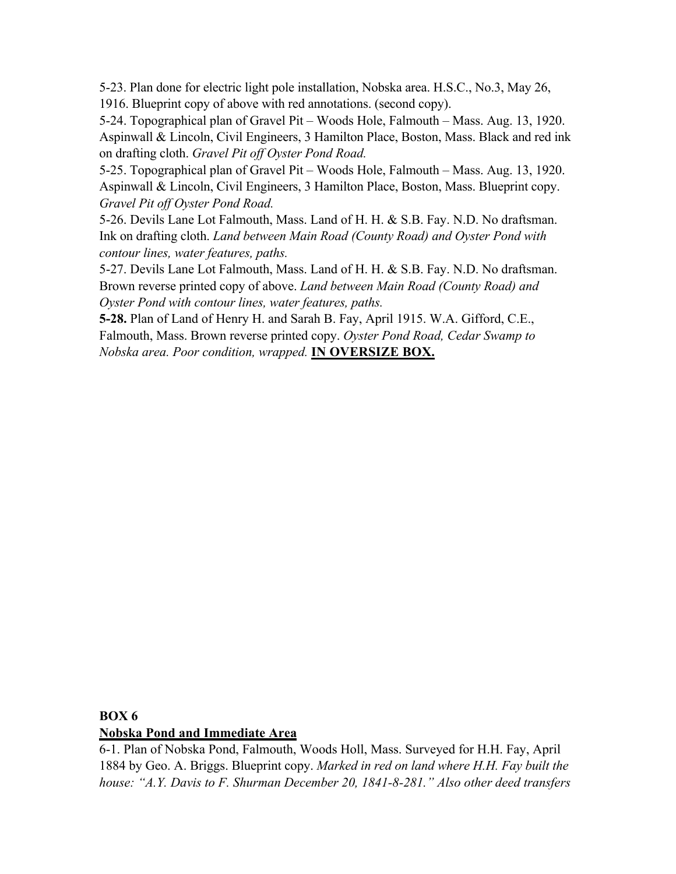5-23. Plan done for electric light pole installation, Nobska area. H.S.C., No.3, May 26, 1916. Blueprint copy of above with red annotations. (second copy).

5-24. Topographical plan of Gravel Pit – Woods Hole, Falmouth – Mass. Aug. 13, 1920. Aspinwall & Lincoln, Civil Engineers, 3 Hamilton Place, Boston, Mass. Black and red ink on drafting cloth. *Gravel Pit off Oyster Pond Road.* 

5-25. Topographical plan of Gravel Pit – Woods Hole, Falmouth – Mass. Aug. 13, 1920. Aspinwall & Lincoln, Civil Engineers, 3 Hamilton Place, Boston, Mass. Blueprint copy. *Gravel Pit off Oyster Pond Road.*

5-26. Devils Lane Lot Falmouth, Mass. Land of H. H. & S.B. Fay. N.D. No draftsman. Ink on drafting cloth. *Land between Main Road (County Road) and Oyster Pond with contour lines, water features, paths.*

5-27. Devils Lane Lot Falmouth, Mass. Land of H. H. & S.B. Fay. N.D. No draftsman. Brown reverse printed copy of above. *Land between Main Road (County Road) and Oyster Pond with contour lines, water features, paths.*

**5-28.** Plan of Land of Henry H. and Sarah B. Fay, April 1915. W.A. Gifford, C.E., Falmouth, Mass. Brown reverse printed copy. *Oyster Pond Road, Cedar Swamp to Nobska area. Poor condition, wrapped.* **IN OVERSIZE BOX.**

### **BOX 6 Nobska Pond and Immediate Area**

6-1. Plan of Nobska Pond, Falmouth, Woods Holl, Mass. Surveyed for H.H. Fay, April 1884 by Geo. A. Briggs. Blueprint copy. *Marked in red on land where H.H. Fay built the house: "A.Y. Davis to F. Shurman December 20, 1841-8-281." Also other deed transfers*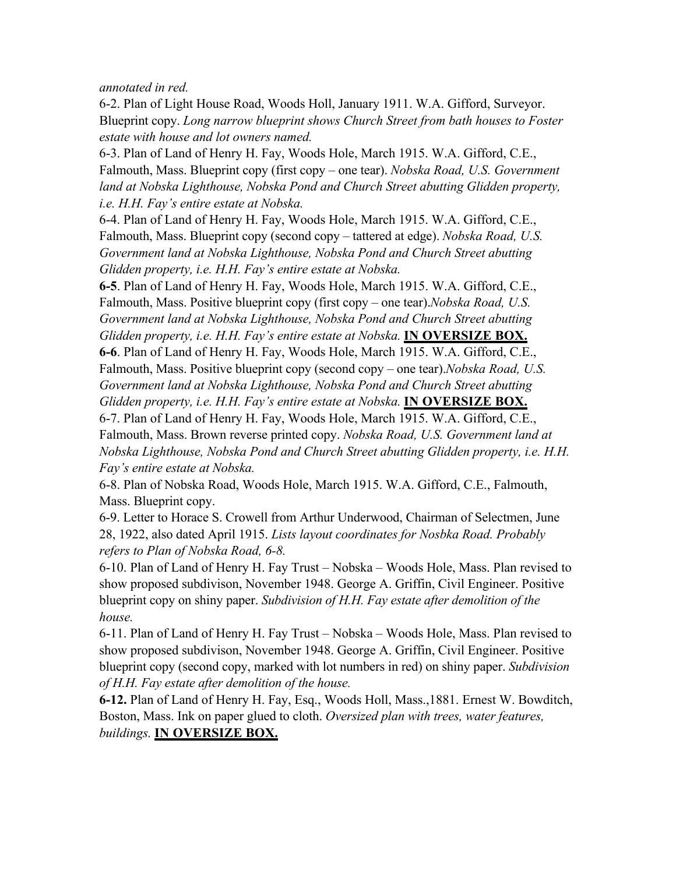*annotated in red.*

6-2. Plan of Light House Road, Woods Holl, January 1911. W.A. Gifford, Surveyor. Blueprint copy. *Long narrow blueprint shows Church Street from bath houses to Foster estate with house and lot owners named.*

6-3. Plan of Land of Henry H. Fay, Woods Hole, March 1915. W.A. Gifford, C.E., Falmouth, Mass. Blueprint copy (first copy – one tear). *Nobska Road, U.S. Government*  land at Nobska Lighthouse, Nobska Pond and Church Street abutting Glidden property, *i.e. H.H. Fay's entire estate at Nobska.*

6-4. Plan of Land of Henry H. Fay, Woods Hole, March 1915. W.A. Gifford, C.E., Falmouth, Mass. Blueprint copy (second copy – tattered at edge). *Nobska Road, U.S. Government land at Nobska Lighthouse, Nobska Pond and Church Street abutting Glidden property, i.e. H.H. Fay's entire estate at Nobska.*

**6-5**. Plan of Land of Henry H. Fay, Woods Hole, March 1915. W.A. Gifford, C.E., Falmouth, Mass. Positive blueprint copy (first copy – one tear).*Nobska Road, U.S. Government land at Nobska Lighthouse, Nobska Pond and Church Street abutting Glidden property, i.e. H.H. Fay's entire estate at Nobska.* **IN OVERSIZE BOX. 6-6**. Plan of Land of Henry H. Fay, Woods Hole, March 1915. W.A. Gifford, C.E., Falmouth, Mass. Positive blueprint copy (second copy – one tear).*Nobska Road, U.S. Government land at Nobska Lighthouse, Nobska Pond and Church Street abutting Glidden property, i.e. H.H. Fay's entire estate at Nobska.* **IN OVERSIZE BOX.** 6-7. Plan of Land of Henry H. Fay, Woods Hole, March 1915. W.A. Gifford, C.E., Falmouth, Mass. Brown reverse printed copy. *Nobska Road, U.S. Government land at Nobska Lighthouse, Nobska Pond and Church Street abutting Glidden property, i.e. H.H.* 

*Fay's entire estate at Nobska.*

6-8. Plan of Nobska Road, Woods Hole, March 1915. W.A. Gifford, C.E., Falmouth, Mass. Blueprint copy.

6-9. Letter to Horace S. Crowell from Arthur Underwood, Chairman of Selectmen, June 28, 1922, also dated April 1915. *Lists layout coordinates for Nosbka Road. Probably refers to Plan of Nobska Road, 6-8.*

6-10. Plan of Land of Henry H. Fay Trust – Nobska – Woods Hole, Mass. Plan revised to show proposed subdivison, November 1948. George A. Griffin, Civil Engineer. Positive blueprint copy on shiny paper. *Subdivision of H.H. Fay estate after demolition of the house.*

6-11. Plan of Land of Henry H. Fay Trust – Nobska – Woods Hole, Mass. Plan revised to show proposed subdivison, November 1948. George A. Griffin, Civil Engineer. Positive blueprint copy (second copy, marked with lot numbers in red) on shiny paper. *Subdivision of H.H. Fay estate after demolition of the house.*

**6-12.** Plan of Land of Henry H. Fay, Esq., Woods Holl, Mass.,1881. Ernest W. Bowditch, Boston, Mass. Ink on paper glued to cloth. *Oversized plan with trees, water features, buildings.* **IN OVERSIZE BOX.**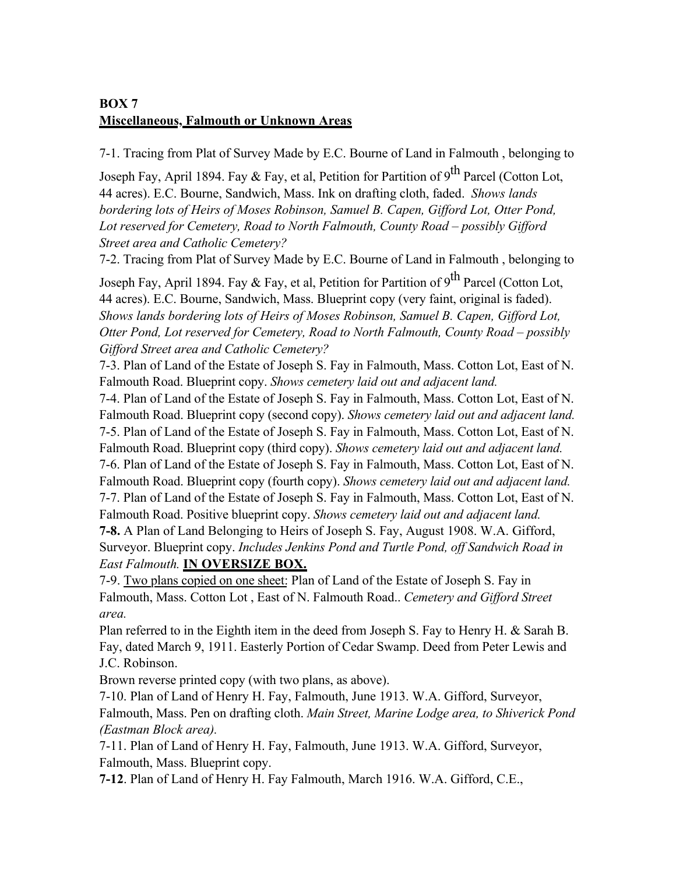# **BOX 7 Miscellaneous, Falmouth or Unknown Areas**

7-1. Tracing from Plat of Survey Made by E.C. Bourne of Land in Falmouth , belonging to

Joseph Fay, April 1894. Fay & Fay, et al, Petition for Partition of 9<sup>th</sup> Parcel (Cotton Lot, 44 acres). E.C. Bourne, Sandwich, Mass. Ink on drafting cloth, faded. *Shows lands bordering lots of Heirs of Moses Robinson, Samuel B. Capen, Gifford Lot, Otter Pond, Lot reserved for Cemetery, Road to North Falmouth, County Road – possibly Gifford Street area and Catholic Cemetery?*

7-2. Tracing from Plat of Survey Made by E.C. Bourne of Land in Falmouth , belonging to

Joseph Fay, April 1894. Fay & Fay, et al, Petition for Partition of 9<sup>th</sup> Parcel (Cotton Lot, 44 acres). E.C. Bourne, Sandwich, Mass. Blueprint copy (very faint, original is faded). *Shows lands bordering lots of Heirs of Moses Robinson, Samuel B. Capen, Gifford Lot, Otter Pond, Lot reserved for Cemetery, Road to North Falmouth, County Road – possibly Gifford Street area and Catholic Cemetery?*

7-3. Plan of Land of the Estate of Joseph S. Fay in Falmouth, Mass. Cotton Lot, East of N. Falmouth Road. Blueprint copy. *Shows cemetery laid out and adjacent land.*

7-4. Plan of Land of the Estate of Joseph S. Fay in Falmouth, Mass. Cotton Lot, East of N. Falmouth Road. Blueprint copy (second copy). *Shows cemetery laid out and adjacent land.* 7-5. Plan of Land of the Estate of Joseph S. Fay in Falmouth, Mass. Cotton Lot, East of N. Falmouth Road. Blueprint copy (third copy). *Shows cemetery laid out and adjacent land.* 7-6. Plan of Land of the Estate of Joseph S. Fay in Falmouth, Mass. Cotton Lot, East of N. Falmouth Road. Blueprint copy (fourth copy). *Shows cemetery laid out and adjacent land.* 7-7. Plan of Land of the Estate of Joseph S. Fay in Falmouth, Mass. Cotton Lot, East of N. Falmouth Road. Positive blueprint copy. *Shows cemetery laid out and adjacent land.* **7-8.** A Plan of Land Belonging to Heirs of Joseph S. Fay, August 1908. W.A. Gifford, Surveyor. Blueprint copy. *Includes Jenkins Pond and Turtle Pond, off Sandwich Road in East Falmouth.* **IN OVERSIZE BOX.**

7-9. Two plans copied on one sheet: Plan of Land of the Estate of Joseph S. Fay in Falmouth, Mass. Cotton Lot , East of N. Falmouth Road.. *Cemetery and Gifford Street area.* 

Plan referred to in the Eighth item in the deed from Joseph S. Fay to Henry H. & Sarah B. Fay, dated March 9, 1911. Easterly Portion of Cedar Swamp. Deed from Peter Lewis and J.C. Robinson.

Brown reverse printed copy (with two plans, as above).

7-10. Plan of Land of Henry H. Fay, Falmouth, June 1913. W.A. Gifford, Surveyor, Falmouth, Mass. Pen on drafting cloth. *Main Street, Marine Lodge area, to Shiverick Pond (Eastman Block area).*

7-11. Plan of Land of Henry H. Fay, Falmouth, June 1913. W.A. Gifford, Surveyor, Falmouth, Mass. Blueprint copy.

**7-12**. Plan of Land of Henry H. Fay Falmouth, March 1916. W.A. Gifford, C.E.,